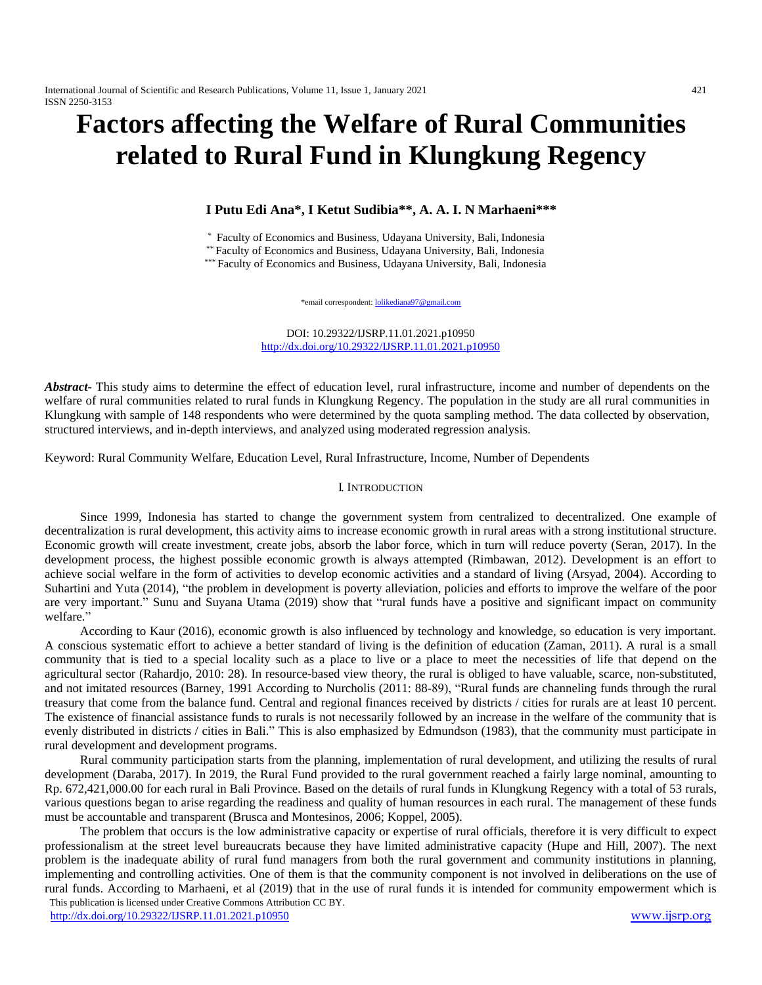# **Factors affecting the Welfare of Rural Communities related to Rural Fund in Klungkung Regency**

# **I Putu Edi Ana\*, I Ketut Sudibia\*\*, A. A. I. N Marhaeni\*\*\***

\* Faculty of Economics and Business, Udayana University, Bali, Indonesia

\*\* Faculty of Economics and Business, Udayana University, Bali, Indonesia

\*\*\* Faculty of Economics and Business, Udayana University, Bali, Indonesia

\*email correspondent[: lolikediana97@gmail.com](mailto:lolikediana97@gmail.com)

DOI: 10.29322/IJSRP.11.01.2021.p10950 <http://dx.doi.org/10.29322/IJSRP.11.01.2021.p10950>

*Abstract***-** This study aims to determine the effect of education level, rural infrastructure, income and number of dependents on the welfare of rural communities related to rural funds in Klungkung Regency. The population in the study are all rural communities in Klungkung with sample of 148 respondents who were determined by the quota sampling method. The data collected by observation, structured interviews, and in-depth interviews, and analyzed using moderated regression analysis.

Keyword: Rural Community Welfare, Education Level, Rural Infrastructure, Income, Number of Dependents

## I. INTRODUCTION

Since 1999, Indonesia has started to change the government system from centralized to decentralized. One example of decentralization is rural development, this activity aims to increase economic growth in rural areas with a strong institutional structure. Economic growth will create investment, create jobs, absorb the labor force, which in turn will reduce poverty (Seran, 2017). In the development process, the highest possible economic growth is always attempted (Rimbawan, 2012). Development is an effort to achieve social welfare in the form of activities to develop economic activities and a standard of living (Arsyad, 2004). According to Suhartini and Yuta (2014), "the problem in development is poverty alleviation, policies and efforts to improve the welfare of the poor are very important." Sunu and Suyana Utama (2019) show that "rural funds have a positive and significant impact on community welfare."

According to Kaur (2016), economic growth is also influenced by technology and knowledge, so education is very important. A conscious systematic effort to achieve a better standard of living is the definition of education (Zaman, 2011). A rural is a small community that is tied to a special locality such as a place to live or a place to meet the necessities of life that depend on the agricultural sector (Rahardjo, 2010: 28). In resource-based view theory, the rural is obliged to have valuable, scarce, non-substituted, and not imitated resources (Barney, 1991 According to Nurcholis (2011: 88-89), "Rural funds are channeling funds through the rural treasury that come from the balance fund. Central and regional finances received by districts / cities for rurals are at least 10 percent. The existence of financial assistance funds to rurals is not necessarily followed by an increase in the welfare of the community that is evenly distributed in districts / cities in Bali." This is also emphasized by Edmundson (1983), that the community must participate in rural development and development programs.

Rural community participation starts from the planning, implementation of rural development, and utilizing the results of rural development (Daraba, 2017). In 2019, the Rural Fund provided to the rural government reached a fairly large nominal, amounting to Rp. 672,421,000.00 for each rural in Bali Province. Based on the details of rural funds in Klungkung Regency with a total of 53 rurals, various questions began to arise regarding the readiness and quality of human resources in each rural. The management of these funds must be accountable and transparent (Brusca and Montesinos, 2006; Koppel, 2005).

 This publication is licensed under Creative Commons Attribution CC BY. <http://dx.doi.org/10.29322/IJSRP.11.01.2021.p10950> [www.ijsrp.org](http://ijsrp.org/) The problem that occurs is the low administrative capacity or expertise of rural officials, therefore it is very difficult to expect professionalism at the street level bureaucrats because they have limited administrative capacity (Hupe and Hill, 2007). The next problem is the inadequate ability of rural fund managers from both the rural government and community institutions in planning, implementing and controlling activities. One of them is that the community component is not involved in deliberations on the use of rural funds. According to Marhaeni, et al (2019) that in the use of rural funds it is intended for community empowerment which is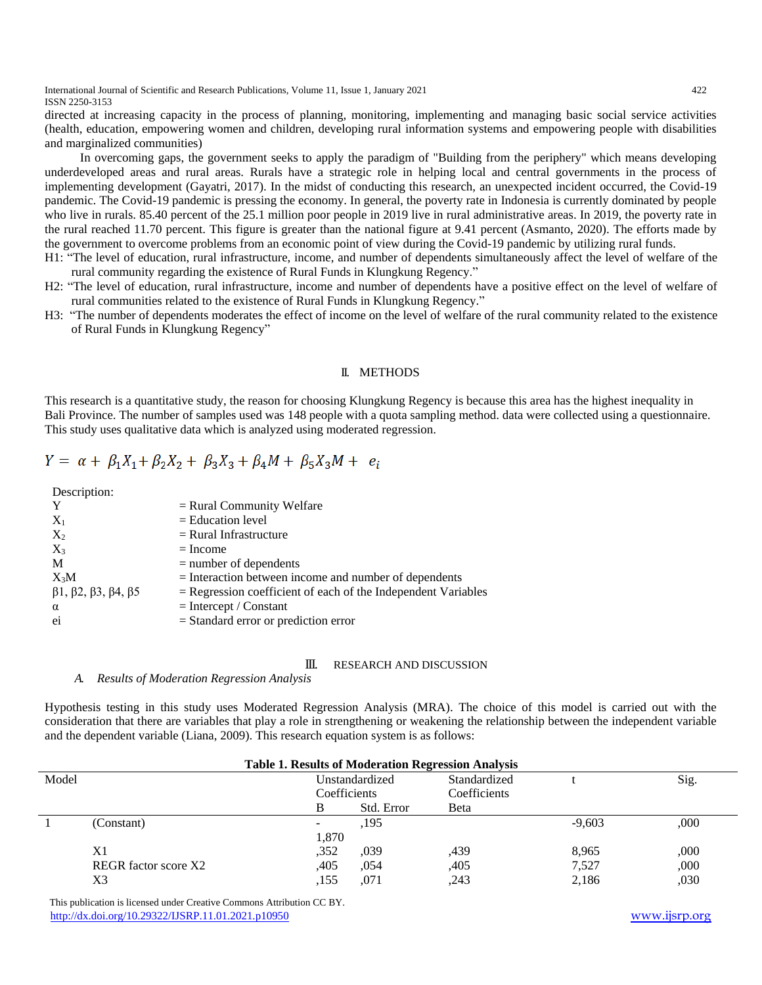International Journal of Scientific and Research Publications, Volume 11, Issue 1, January 2021 422 ISSN 2250-3153

directed at increasing capacity in the process of planning, monitoring, implementing and managing basic social service activities (health, education, empowering women and children, developing rural information systems and empowering people with disabilities and marginalized communities)

In overcoming gaps, the government seeks to apply the paradigm of "Building from the periphery" which means developing underdeveloped areas and rural areas. Rurals have a strategic role in helping local and central governments in the process of implementing development (Gayatri, 2017). In the midst of conducting this research, an unexpected incident occurred, the Covid-19 pandemic. The Covid-19 pandemic is pressing the economy. In general, the poverty rate in Indonesia is currently dominated by people who live in rurals. 85.40 percent of the 25.1 million poor people in 2019 live in rural administrative areas. In 2019, the poverty rate in the rural reached 11.70 percent. This figure is greater than the national figure at 9.41 percent (Asmanto, 2020). The efforts made by the government to overcome problems from an economic point of view during the Covid-19 pandemic by utilizing rural funds.

- H1: "The level of education, rural infrastructure, income, and number of dependents simultaneously affect the level of welfare of the rural community regarding the existence of Rural Funds in Klungkung Regency."
- H2: "The level of education, rural infrastructure, income and number of dependents have a positive effect on the level of welfare of rural communities related to the existence of Rural Funds in Klungkung Regency."
- H3: "The number of dependents moderates the effect of income on the level of welfare of the rural community related to the existence of Rural Funds in Klungkung Regency"

## II. METHODS

This research is a quantitative study, the reason for choosing Klungkung Regency is because this area has the highest inequality in Bali Province. The number of samples used was 148 people with a quota sampling method. data were collected using a questionnaire. This study uses qualitative data which is analyzed using moderated regression.

$$
Y = \alpha + \beta_1 X_1 + \beta_2 X_2 + \beta_3 X_3 + \beta_4 M + \beta_5 X_3 M + e_i
$$

Description:

| Y                                                     | $=$ Rural Community Welfare                                     |
|-------------------------------------------------------|-----------------------------------------------------------------|
| $X_1$                                                 | $=$ Education level                                             |
| $X_2$                                                 | $=$ Rural Infrastructure                                        |
| $X_3$                                                 | $=$ Income                                                      |
| M                                                     | $=$ number of dependents                                        |
| $X_3M$                                                | $=$ Interaction between income and number of dependents         |
| $\beta$ 1, $\beta$ 2, $\beta$ 3, $\beta$ 4, $\beta$ 5 | $=$ Regression coefficient of each of the Independent Variables |
| $\alpha$                                              | $=$ Intercept / Constant                                        |
| ei                                                    | $=$ Standard error or prediction error                          |
|                                                       |                                                                 |

#### III. RESEARCH AND DISCUSSION

#### *A. Results of Moderation Regression Analysis*

Hypothesis testing in this study uses Moderated Regression Analysis (MRA). The choice of this model is carried out with the consideration that there are variables that play a role in strengthening or weakening the relationship between the independent variable and the dependent variable (Liana, 2009). This research equation system is as follows:

| <b>Table 1. Results of Moderation Regression Analysis</b> |                             |       |                |              |          |      |
|-----------------------------------------------------------|-----------------------------|-------|----------------|--------------|----------|------|
| Model                                                     |                             |       | Unstandardized | Standardized |          | Sig. |
|                                                           |                             |       | Coefficients   | Coefficients |          |      |
|                                                           |                             | B     | Std. Error     | Beta         |          |      |
|                                                           | (Constant)                  |       | .195           |              | $-9,603$ | .000 |
|                                                           |                             | 1,870 |                |              |          |      |
|                                                           | X1                          | ,352  | .039           | .439         | 8.965    | ,000 |
|                                                           | <b>REGR</b> factor score X2 | .405  | .054           | ,405         | 7,527    | ,000 |
|                                                           | X3                          | .155  | .071           | .243         | 2,186    | ,030 |

 This publication is licensed under Creative Commons Attribution CC BY. <http://dx.doi.org/10.29322/IJSRP.11.01.2021.p10950> [www.ijsrp.org](http://ijsrp.org/)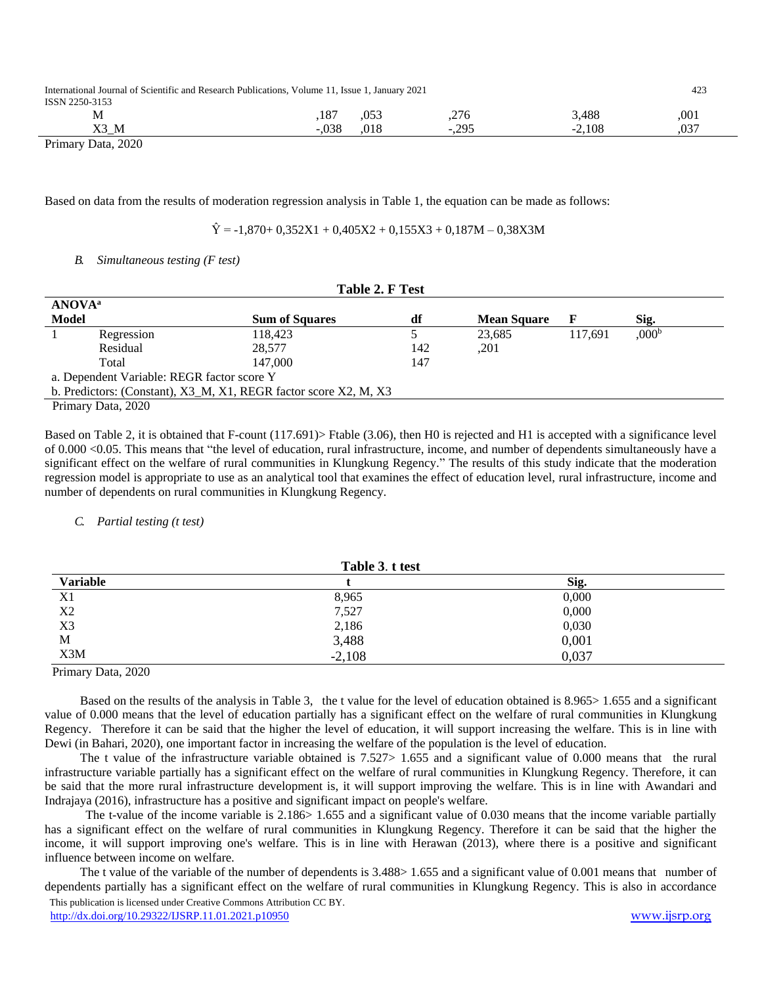| International Journal of Scientific and Research Publications, Volume 11, Issue 1, January 2021<br>ISSN 2250-3153 |         |      |          |          | 423  |
|-------------------------------------------------------------------------------------------------------------------|---------|------|----------|----------|------|
| М                                                                                                                 | 187     | .053 | .276     | 3.488    | .001 |
| X3 M                                                                                                              | $-.038$ | .018 | $-0.295$ | $-2.108$ | .037 |

Primary Data, 2020

Based on data from the results of moderation regression analysis in Table 1, the equation can be made as follows:

 $\hat{Y} = -1.870 + 0.352X1 + 0.405X2 + 0.155X3 + 0.187M - 0.38X3M$ 

# *B. Simultaneous testing (F test)*

|                                                                  | Table 2. F Test |                       |     |                    |         |                   |  |
|------------------------------------------------------------------|-----------------|-----------------------|-----|--------------------|---------|-------------------|--|
| <b>ANOVA</b> <sup>a</sup>                                        |                 |                       |     |                    |         |                   |  |
| <b>Model</b>                                                     |                 | <b>Sum of Squares</b> | df  | <b>Mean Square</b> | F       | Sig.              |  |
|                                                                  | Regression      | 118.423               |     | 23.685             | 117.691 | 0.00 <sup>b</sup> |  |
|                                                                  | Residual        | 28,577                | 142 | ,201               |         |                   |  |
|                                                                  | Total           | 147.000               | 147 |                    |         |                   |  |
| a. Dependent Variable: REGR factor score Y                       |                 |                       |     |                    |         |                   |  |
| b. Predictors: (Constant), X3_M, X1, REGR factor score X2, M, X3 |                 |                       |     |                    |         |                   |  |
| $D_{\text{rinnow}}$ D <sub>ota</sub> $2020$                      |                 |                       |     |                    |         |                   |  |

Primary Data, 2020

Based on Table 2, it is obtained that F-count (117.691)> Ftable (3.06), then H0 is rejected and H1 is accepted with a significance level of 0.000 <0.05. This means that "the level of education, rural infrastructure, income, and number of dependents simultaneously have a significant effect on the welfare of rural communities in Klungkung Regency." The results of this study indicate that the moderation regression model is appropriate to use as an analytical tool that examines the effect of education level, rural infrastructure, income and number of dependents on rural communities in Klungkung Regency.

## *C. Partial testing (t test)*

| Table 3. t test |       |  |  |  |
|-----------------|-------|--|--|--|
|                 | Sig.  |  |  |  |
| 8,965           | 0,000 |  |  |  |
| 7,527           | 0,000 |  |  |  |
| 2,186           | 0,030 |  |  |  |
|                 | 0,001 |  |  |  |
| $-2,108$        | 0,037 |  |  |  |
|                 | 3,488 |  |  |  |

Primary Data, 2020

Based on the results of the analysis in Table 3, the t value for the level of education obtained is 8.965> 1.655 and a significant value of 0.000 means that the level of education partially has a significant effect on the welfare of rural communities in Klungkung Regency. Therefore it can be said that the higher the level of education, it will support increasing the welfare. This is in line with Dewi (in Bahari, 2020), one important factor in increasing the welfare of the population is the level of education.

The t value of the infrastructure variable obtained is  $7.527 > 1.655$  and a significant value of 0.000 means that the rural infrastructure variable partially has a significant effect on the welfare of rural communities in Klungkung Regency. Therefore, it can be said that the more rural infrastructure development is, it will support improving the welfare. This is in line with Awandari and Indrajaya (2016), infrastructure has a positive and significant impact on people's welfare."

The t-value of the income variable is 2.186> 1.655 and a significant value of 0.030 means that the income variable partially has a significant effect on the welfare of rural communities in Klungkung Regency. Therefore it can be said that the higher the income, it will support improving one's welfare. This is in line with Herawan (2013), where there is a positive and significant influence between income on welfare.

 This publication is licensed under Creative Commons Attribution CC BY. <http://dx.doi.org/10.29322/IJSRP.11.01.2021.p10950> [www.ijsrp.org](http://ijsrp.org/) The t value of the variable of the number of dependents is 3.488> 1.655 and a significant value of 0.001 means that number of dependents partially has a significant effect on the welfare of rural communities in Klungkung Regency. This is also in accordance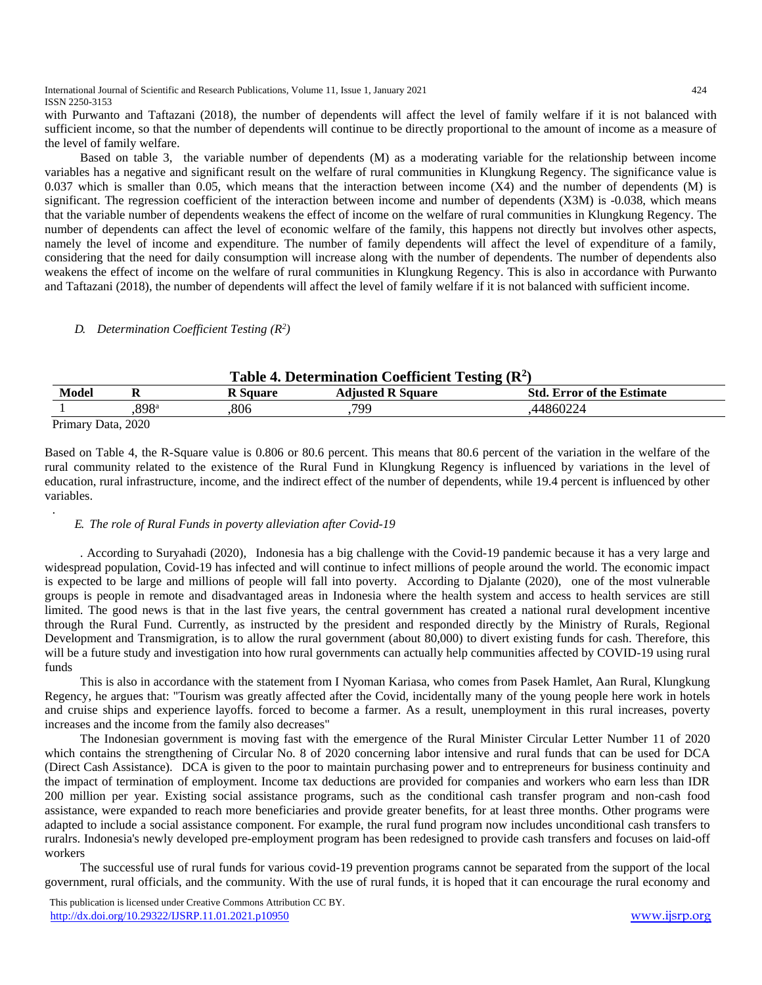International Journal of Scientific and Research Publications, Volume 11, Issue 1, January 2021 424 ISSN 2250-3153

with Purwanto and Taftazani (2018), the number of dependents will affect the level of family welfare if it is not balanced with sufficient income, so that the number of dependents will continue to be directly proportional to the amount of income as a measure of the level of family welfare.

Based on table 3, the variable number of dependents (M) as a moderating variable for the relationship between income variables has a negative and significant result on the welfare of rural communities in Klungkung Regency. The significance value is 0.037 which is smaller than 0.05, which means that the interaction between income  $(X4)$  and the number of dependents  $(M)$  is significant. The regression coefficient of the interaction between income and number of dependents (X3M) is -0.038, which means that the variable number of dependents weakens the effect of income on the welfare of rural communities in Klungkung Regency. The number of dependents can affect the level of economic welfare of the family, this happens not directly but involves other aspects, namely the level of income and expenditure. The number of family dependents will affect the level of expenditure of a family, considering that the need for daily consumption will increase along with the number of dependents. The number of dependents also weakens the effect of income on the welfare of rural communities in Klungkung Regency. This is also in accordance with Purwanto and Taftazani (2018), the number of dependents will affect the level of family welfare if it is not balanced with sufficient income."

# *D. Determination Coefficient Testing (R<sup>2</sup> )*

.

| Table 4. Determination Coefficient Testing $(R^2)$ |      |          |                          |                                   |  |
|----------------------------------------------------|------|----------|--------------------------|-----------------------------------|--|
| Model                                              |      | R Square | <b>Adiusted R Square</b> | <b>Std. Error of the Estimate</b> |  |
|                                                    | 898ª | 806      | 799                      | .44860224                         |  |
| Primary Data, 2020                                 |      |          |                          |                                   |  |

Based on Table 4, the R-Square value is 0.806 or 80.6 percent. This means that 80.6 percent of the variation in the welfare of the rural community related to the existence of the Rural Fund in Klungkung Regency is influenced by variations in the level of education, rural infrastructure, income, and the indirect effect of the number of dependents, while 19.4 percent is influenced by other variables.

## *E. The role of Rural Funds in poverty alleviation after Covid-19*

. According to Suryahadi (2020), "Indonesia has a big challenge with the Covid-19 pandemic because it has a very large and widespread population, Covid-19 has infected and will continue to infect millions of people around the world. The economic impact is expected to be large and millions of people will fall into poverty. According to Djalante (2020), one of the most vulnerable groups is people in remote and disadvantaged areas in Indonesia where the health system and access to health services are still limited. The good news is that in the last five years, the central government has created a national rural development incentive through the Rural Fund. Currently, as instructed by the president and responded directly by the Ministry of Rurals, Regional Development and Transmigration, is to allow the rural government (about 80,000) to divert existing funds for cash. Therefore, this will be a future study and investigation into how rural governments can actually help communities affected by COVID-19 using rural funds.

This is also in accordance with the statement from I Nyoman Kariasa, who comes from Pasek Hamlet, Aan Rural, Klungkung Regency, he argues that: "Tourism was greatly affected after the Covid, incidentally many of the young people here work in hotels and cruise ships and experience layoffs. forced to become a farmer. As a result, unemployment in this rural increases, poverty increases and the income from the family also decreases"

The Indonesian government is moving fast with the emergence of the Rural Minister Circular Letter Number 11 of 2020 which contains the strengthening of Circular No. 8 of 2020 concerning labor intensive and rural funds that can be used for DCA (Direct Cash Assistance). "DCA is given to the poor to maintain purchasing power and to entrepreneurs for business continuity and the impact of termination of employment. Income tax deductions are provided for companies and workers who earn less than IDR 200 million per year. Existing social assistance programs, such as the conditional cash transfer program and non-cash food assistance, were expanded to reach more beneficiaries and provide greater benefits, for at least three months. Other programs were adapted to include a social assistance component. For example, the rural fund program now includes unconditional cash transfers to ruralrs. Indonesia's newly developed pre-employment program has been redesigned to provide cash transfers and focuses on laid-off workers.

The successful use of rural funds for various covid-19 prevention programs cannot be separated from the support of the local government, rural officials, and the community. With the use of rural funds, it is hoped that it can encourage the rural economy and